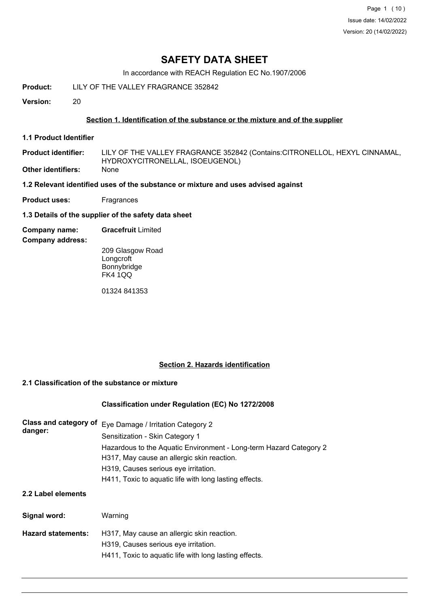Page 1 (10) Issue date: 14/02/2022 Version: 20 (14/02/2022)

## **SAFETY DATA SHEET**

In accordance with REACH Regulation EC No.1907/2006

**Product:** LILY OF THE VALLEY FRAGRANCE 352842

**Version:** 20

#### **Section 1. Identification of the substance or the mixture and of the supplier**

**1.1 Product Identifier**

LILY OF THE VALLEY FRAGRANCE 352842 (Contains:CITRONELLOL, HEXYL CINNAMAL, HYDROXYCITRONELLAL, ISOEUGENOL) **Product identifier: Other identifiers:** None

**1.2 Relevant identified uses of the substance or mixture and uses advised against**

**Product uses:** Fragrances

- **1.3 Details of the supplier of the safety data sheet**
- **Company name: Gracefruit** Limited

**Company address:**

209 Glasgow Road Longcroft **Bonnybridge** FK4 1QQ

01324 841353

#### **Section 2. Hazards identification**

#### **2.1 Classification of the substance or mixture**

#### **Classification under Regulation (EC) No 1272/2008**

| <b>Class and category of</b><br>danger: | Eye Damage / Irritation Category 2<br>Sensitization - Skin Category 1                                            |  |  |  |
|-----------------------------------------|------------------------------------------------------------------------------------------------------------------|--|--|--|
|                                         | Hazardous to the Aquatic Environment - Long-term Hazard Category 2<br>H317, May cause an allergic skin reaction. |  |  |  |
|                                         | H319, Causes serious eye irritation.                                                                             |  |  |  |
|                                         | H411, Toxic to aquatic life with long lasting effects.                                                           |  |  |  |
| 2.2 Label elements                      |                                                                                                                  |  |  |  |
| Signal word:                            | Warning                                                                                                          |  |  |  |
| <b>Hazard statements:</b>               | H317, May cause an allergic skin reaction.                                                                       |  |  |  |
|                                         | H319, Causes serious eye irritation.                                                                             |  |  |  |
|                                         | H411, Toxic to aquatic life with long lasting effects.                                                           |  |  |  |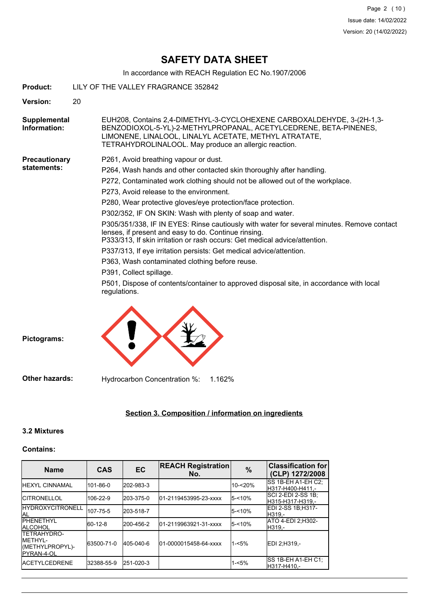# **SAFETY DATA SHEET**

In accordance with REACH Regulation EC No.1907/2006

| Product:                            | LILY OF THE VALLEY FRAGRANCE 352842                                                                                                                                                                                                                          |  |  |  |  |
|-------------------------------------|--------------------------------------------------------------------------------------------------------------------------------------------------------------------------------------------------------------------------------------------------------------|--|--|--|--|
| <b>Version:</b>                     | 20                                                                                                                                                                                                                                                           |  |  |  |  |
| Supplemental<br>Information:        | EUH208, Contains 2,4-DIMETHYL-3-CYCLOHEXENE CARBOXALDEHYDE, 3-(2H-1,3-<br>BENZODIOXOL-5-YL)-2-METHYLPROPANAL, ACETYLCEDRENE, BETA-PINENES,<br>LIMONENE, LINALOOL, LINALYL ACETATE, METHYL ATRATATE,<br>TETRAHYDROLINALOOL. May produce an allergic reaction. |  |  |  |  |
| <b>Precautionary</b><br>statements: | P261, Avoid breathing vapour or dust.                                                                                                                                                                                                                        |  |  |  |  |
|                                     | P264, Wash hands and other contacted skin thoroughly after handling.                                                                                                                                                                                         |  |  |  |  |
|                                     | P272, Contaminated work clothing should not be allowed out of the workplace.                                                                                                                                                                                 |  |  |  |  |
|                                     | P273, Avoid release to the environment.                                                                                                                                                                                                                      |  |  |  |  |
|                                     | P280, Wear protective gloves/eye protection/face protection.                                                                                                                                                                                                 |  |  |  |  |
|                                     | P302/352, IF ON SKIN: Wash with plenty of soap and water.                                                                                                                                                                                                    |  |  |  |  |
|                                     | P305/351/338, IF IN EYES: Rinse cautiously with water for several minutes. Remove contact<br>lenses, if present and easy to do. Continue rinsing.<br>P333/313, If skin irritation or rash occurs: Get medical advice/attention.                              |  |  |  |  |
|                                     | P337/313, If eye irritation persists: Get medical advice/attention.                                                                                                                                                                                          |  |  |  |  |
|                                     | P363, Wash contaminated clothing before reuse.                                                                                                                                                                                                               |  |  |  |  |
|                                     | P391, Collect spillage.                                                                                                                                                                                                                                      |  |  |  |  |
|                                     | P501, Dispose of contents/container to approved disposal site, in accordance with local<br>regulations.                                                                                                                                                      |  |  |  |  |
|                                     |                                                                                                                                                                                                                                                              |  |  |  |  |



## **Section 3. Composition / information on ingredients**

## **3.2 Mixtures**

#### **Contains:**

| <b>Name</b>                                                                     | <b>CAS</b> | <b>EC</b> | <b>REACH Registration</b><br>No. | $\%$      | <b>Classification for</b><br>(CLP) 1272/2008 |
|---------------------------------------------------------------------------------|------------|-----------|----------------------------------|-----------|----------------------------------------------|
| <b>HEXYL CINNAMAL</b>                                                           | 101-86-0   | 202-983-3 |                                  | 10-<20%   | ISS 1B-EH A1-EH C2:<br>H317-H400-H411.-      |
| <b>ICITRONELLOL</b>                                                             | 106-22-9   | 203-375-0 | 01-2119453995-23-xxxx            | $5 - 10%$ | ISCI 2-EDI 2-SS 1B:<br>H315-H317-H319.-      |
| <b>I</b> HYDROXYCITRONELL<br>ial                                                | 107-75-5   | 203-518-7 |                                  | $5 - 10%$ | EDI 2-SS 1B;H317-<br>H319.-                  |
| <b>IPHENETHYL</b><br><b>ALCOHOL</b>                                             | 60-12-8    | 200-456-2 | 01-2119963921-31-xxxx            | $5 - 10%$ | ATO 4-EDI 2:H302-<br>H319.-                  |
| <b>ITETRAHYDRO-</b><br><b>IMFTHYL-</b><br>(METHYLPROPYL)-<br><b>IPYRAN-4-OL</b> | 63500-71-0 | 405-040-6 | 01-0000015458-64-xxxx            | $1 - 5%$  | EDI 2:H319 -                                 |
| <b>IACETYLCEDRENE</b>                                                           | 32388-55-9 | 251-020-3 |                                  | $1 - 5%$  | ISS 1B-EH A1-EH C1:<br>H317-H410.-           |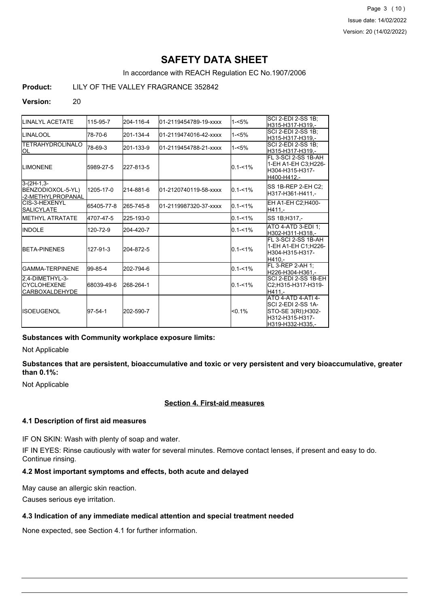Page 3 (10) Issue date: 14/02/2022 Version: 20 (14/02/2022)

# **SAFETY DATA SHEET**

In accordance with REACH Regulation EC No.1907/2006

**Product:** LILY OF THE VALLEY FRAGRANCE 352842

### **Version:** 20

| LINALYL ACETATE                                           | 115-95-7   | 204-116-4 | 01-2119454789-19-xxxx  | $1 - 5%$    | SCI 2-EDI 2-SS 1B;<br>H315-H317-H319.-                                                                        |
|-----------------------------------------------------------|------------|-----------|------------------------|-------------|---------------------------------------------------------------------------------------------------------------|
| <b>ILINALOOL</b>                                          | 78-70-6    | 201-134-4 | 01-2119474016-42-xxxx  | $1 - 5%$    | SCI 2-EDI 2-SS 1B;<br>H315-H317-H319.-                                                                        |
| <b>TETRAHYDROLINALO</b><br>OL                             | 78-69-3    | 201-133-9 | l01-2119454788-21-xxxx | $1 - 5%$    | <b>SCI 2-EDI 2-SS 1B:</b><br>H315-H317-H319.-                                                                 |
| <b>ILIMONENE</b>                                          | 5989-27-5  | 227-813-5 |                        | $0.1 - 1\%$ | FL 3-SCI 2-SS 1B-AH<br>1-EH A1-EH C3;H226-<br>H304-H315-H317-<br>H400-H412.-                                  |
| $3-(2H-1,3-$<br>BENZODIOXOL-5-YL)<br>l-2-METHYLPROPANAL   | 1205-17-0  | 214-881-6 | 01-2120740119-58-xxxx  | $0.1 - 1\%$ | ISS 1B-REP 2-EH C2:<br>H317-H361-H411.-                                                                       |
| ICIS-3-HEXENYL<br><b>SALICYLATE</b>                       | 65405-77-8 | 265-745-8 | 01-2119987320-37-xxxx  | $0.1 - 1\%$ | EH A1-EH C2:H400-<br>H411.-                                                                                   |
| <b>IMETHYL ATRATATE</b>                                   | 4707-47-5  | 225-193-0 |                        | $0.1 - 1\%$ | SS 1B; H317,-                                                                                                 |
| <b>IINDOLE</b>                                            | 120-72-9   | 204-420-7 |                        | $0.1 - 1\%$ | ATO 4-ATD 3-EDI 1;<br>H302-H311-H318.-                                                                        |
| <b>IBETA-PINENES</b>                                      | 127-91-3   | 204-872-5 |                        | $0.1 - 1\%$ | FL 3-SCI 2-SS 1B-AH<br>1-EH A1-EH C1:H226-<br>H304-H315-H317-<br>H410.-                                       |
| IGAMMA-TERPINENE                                          | 99-85-4    | 202-794-6 |                        | $0.1 - 1\%$ | FL 3-REP 2-AH 1:<br>lH226-H304-H361.-                                                                         |
| 2,4-DIMETHYL-3-<br>ICYCLOHEXENE<br><b>ICARBOXALDEHYDE</b> | 68039-49-6 | 268-264-1 |                        | $0.1 - 1\%$ | ISCI 2-EDI 2-SS 1B-EH<br>C2:H315-H317-H319-<br>H411.-                                                         |
| <b>IISOEUGENOL</b>                                        | 97-54-1    | 202-590-7 |                        | $< 0.1\%$   | <b>ATO 4-ATD 4-ATI 4-</b><br>SCI 2-EDI 2-SS 1A-<br>STO-SE 3(RI);H302-<br>lH312-H315-H317-<br>H319-H332-H335.- |

#### **Substances with Community workplace exposure limits:**

Not Applicable

**Substances that are persistent, bioaccumulative and toxic or very persistent and very bioaccumulative, greater than 0.1%:**

Not Applicable

## **Section 4. First-aid measures**

### **4.1 Description of first aid measures**

IF ON SKIN: Wash with plenty of soap and water.

IF IN EYES: Rinse cautiously with water for several minutes. Remove contact lenses, if present and easy to do. Continue rinsing.

#### **4.2 Most important symptoms and effects, both acute and delayed**

May cause an allergic skin reaction.

Causes serious eye irritation.

## **4.3 Indication of any immediate medical attention and special treatment needed**

None expected, see Section 4.1 for further information.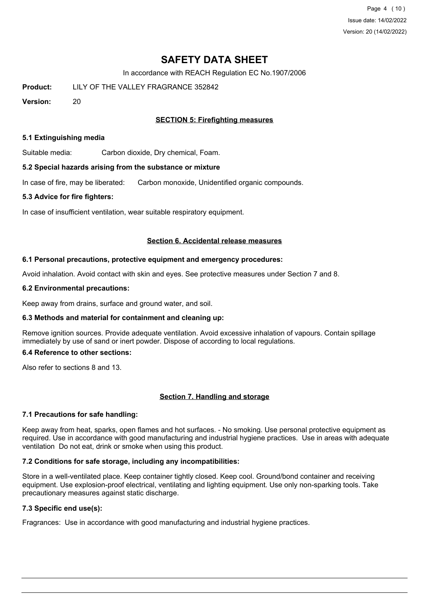Page 4 (10) Issue date: 14/02/2022 Version: 20 (14/02/2022)

# **SAFETY DATA SHEET**

In accordance with REACH Regulation EC No.1907/2006

**Product:** LILY OF THE VALLEY FRAGRANCE 352842

**Version:** 20

### **SECTION 5: Firefighting measures**

#### **5.1 Extinguishing media**

Suitable media: Carbon dioxide, Dry chemical, Foam.

#### **5.2 Special hazards arising from the substance or mixture**

In case of fire, may be liberated: Carbon monoxide, Unidentified organic compounds.

#### **5.3 Advice for fire fighters:**

In case of insufficient ventilation, wear suitable respiratory equipment.

#### **Section 6. Accidental release measures**

#### **6.1 Personal precautions, protective equipment and emergency procedures:**

Avoid inhalation. Avoid contact with skin and eyes. See protective measures under Section 7 and 8.

#### **6.2 Environmental precautions:**

Keep away from drains, surface and ground water, and soil.

#### **6.3 Methods and material for containment and cleaning up:**

Remove ignition sources. Provide adequate ventilation. Avoid excessive inhalation of vapours. Contain spillage immediately by use of sand or inert powder. Dispose of according to local regulations.

#### **6.4 Reference to other sections:**

Also refer to sections 8 and 13.

#### **Section 7. Handling and storage**

#### **7.1 Precautions for safe handling:**

Keep away from heat, sparks, open flames and hot surfaces. - No smoking. Use personal protective equipment as required. Use in accordance with good manufacturing and industrial hygiene practices. Use in areas with adequate ventilation Do not eat, drink or smoke when using this product.

#### **7.2 Conditions for safe storage, including any incompatibilities:**

Store in a well-ventilated place. Keep container tightly closed. Keep cool. Ground/bond container and receiving equipment. Use explosion-proof electrical, ventilating and lighting equipment. Use only non-sparking tools. Take precautionary measures against static discharge.

## **7.3 Specific end use(s):**

Fragrances: Use in accordance with good manufacturing and industrial hygiene practices.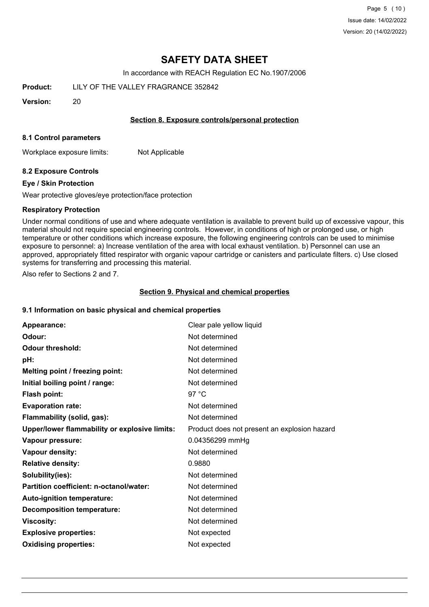Page 5 (10) Issue date: 14/02/2022 Version: 20 (14/02/2022)

## **SAFETY DATA SHEET**

In accordance with REACH Regulation EC No.1907/2006

**Product:** LILY OF THE VALLEY FRAGRANCE 352842

**Version:** 20

#### **Section 8. Exposure controls/personal protection**

#### **8.1 Control parameters**

Workplace exposure limits: Not Applicable

### **8.2 Exposure Controls**

#### **Eye / Skin Protection**

Wear protective gloves/eye protection/face protection

#### **Respiratory Protection**

Under normal conditions of use and where adequate ventilation is available to prevent build up of excessive vapour, this material should not require special engineering controls. However, in conditions of high or prolonged use, or high temperature or other conditions which increase exposure, the following engineering controls can be used to minimise exposure to personnel: a) Increase ventilation of the area with local exhaust ventilation. b) Personnel can use an approved, appropriately fitted respirator with organic vapour cartridge or canisters and particulate filters. c) Use closed systems for transferring and processing this material.

Also refer to Sections 2 and 7.

#### **Section 9. Physical and chemical properties**

#### **9.1 Information on basic physical and chemical properties**

| Appearance:                                   | Clear pale yellow liquid                     |
|-----------------------------------------------|----------------------------------------------|
| Odour:                                        | Not determined                               |
| <b>Odour threshold:</b>                       | Not determined                               |
| pH:                                           | Not determined                               |
| Melting point / freezing point:               | Not determined                               |
| Initial boiling point / range:                | Not determined                               |
| Flash point:                                  | 97 $^{\circ}$ C                              |
| <b>Evaporation rate:</b>                      | Not determined                               |
| Flammability (solid, gas):                    | Not determined                               |
| Upper/lower flammability or explosive limits: | Product does not present an explosion hazard |
| Vapour pressure:                              | 0.04356299 mmHg                              |
| Vapour density:                               | Not determined                               |
| <b>Relative density:</b>                      | 0.9880                                       |
| Solubility(ies):                              | Not determined                               |
| Partition coefficient: n-octanol/water:       | Not determined                               |
| Auto-ignition temperature:                    | Not determined                               |
| <b>Decomposition temperature:</b>             | Not determined                               |
| <b>Viscosity:</b>                             | Not determined                               |
| <b>Explosive properties:</b>                  | Not expected                                 |
| <b>Oxidising properties:</b>                  | Not expected                                 |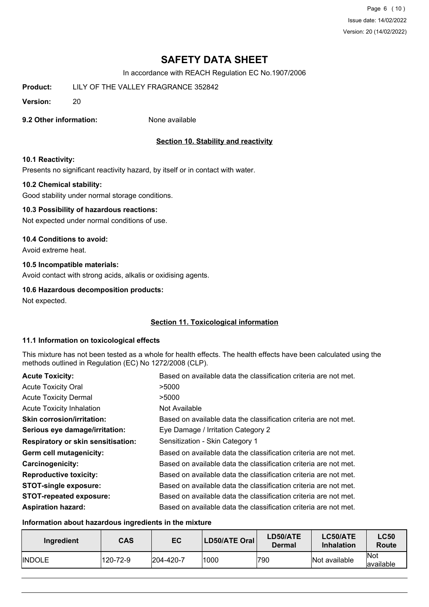Page 6 (10) Issue date: 14/02/2022 Version: 20 (14/02/2022)

# **SAFETY DATA SHEET**

In accordance with REACH Regulation EC No.1907/2006

**Product:** LILY OF THE VALLEY FRAGRANCE 352842

**Version:** 20

### **9.2 Other information:** None available

### **Section 10. Stability and reactivity**

#### **10.1 Reactivity:**

Presents no significant reactivity hazard, by itself or in contact with water.

#### **10.2 Chemical stability:**

Good stability under normal storage conditions.

#### **10.3 Possibility of hazardous reactions:**

Not expected under normal conditions of use.

#### **10.4 Conditions to avoid:**

Avoid extreme heat.

#### **10.5 Incompatible materials:**

Avoid contact with strong acids, alkalis or oxidising agents.

#### **10.6 Hazardous decomposition products:**

Not expected.

#### **Section 11. Toxicological information**

#### **11.1 Information on toxicological effects**

This mixture has not been tested as a whole for health effects. The health effects have been calculated using the methods outlined in Regulation (EC) No 1272/2008 (CLP).

| <b>Acute Toxicity:</b>                    | Based on available data the classification criteria are not met. |
|-------------------------------------------|------------------------------------------------------------------|
| <b>Acute Toxicity Oral</b>                | >5000                                                            |
| <b>Acute Toxicity Dermal</b>              | >5000                                                            |
| <b>Acute Toxicity Inhalation</b>          | Not Available                                                    |
| <b>Skin corrosion/irritation:</b>         | Based on available data the classification criteria are not met. |
| Serious eye damage/irritation:            | Eye Damage / Irritation Category 2                               |
| <b>Respiratory or skin sensitisation:</b> | Sensitization - Skin Category 1                                  |
| Germ cell mutagenicity:                   | Based on available data the classification criteria are not met. |
| <b>Carcinogenicity:</b>                   | Based on available data the classification criteria are not met. |
| <b>Reproductive toxicity:</b>             | Based on available data the classification criteria are not met. |
| <b>STOT-single exposure:</b>              | Based on available data the classification criteria are not met. |
| <b>STOT-repeated exposure:</b>            | Based on available data the classification criteria are not met. |
| <b>Aspiration hazard:</b>                 | Based on available data the classification criteria are not met. |

#### **Information about hazardous ingredients in the mixture**

| Ingredient     | <b>CAS</b> | EC        | LD50/ATE Oral | LD50/ATE<br>Dermal | LC50/ATE<br><b>Inhalation</b> | <b>LC50</b><br><b>Route</b> |
|----------------|------------|-----------|---------------|--------------------|-------------------------------|-----------------------------|
| <b>IINDOLE</b> | 120-72-9   | 204-420-7 | 1000          | 790                | Not available                 | <b>Not</b><br>available     |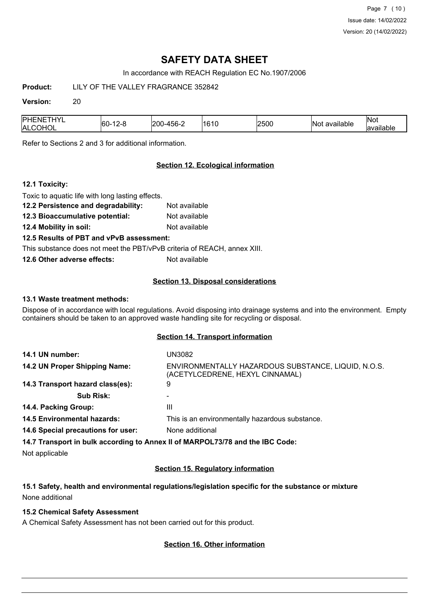Page 7 (10) Issue date: 14/02/2022 Version: 20 (14/02/2022)

# **SAFETY DATA SHEET**

In accordance with REACH Regulation EC No.1907/2006

**Product:** LILY OF THE VALLEY FRAGRANCE 352842

#### **Version:** 20

| ا∨נ<br><b>PHENE</b><br>-60<br>▰<br>IAL<br>$\sim$<br>. .<br>◡ | 201<br>ำh-. | .<br>161<br>. . | 2500 | . .<br>available<br>١N١ | Nov<br>. .<br>lovoiloh<br>, allable - |
|--------------------------------------------------------------|-------------|-----------------|------|-------------------------|---------------------------------------|
|--------------------------------------------------------------|-------------|-----------------|------|-------------------------|---------------------------------------|

Refer to Sections 2 and 3 for additional information.

### **Section 12. Ecological information**

### **12.1 Toxicity:**

| Toxic to aquatic life with long lasting effects.                         |               |
|--------------------------------------------------------------------------|---------------|
| 12.2 Persistence and degradability:                                      | Not available |
| 12.3 Bioaccumulative potential:                                          | Not available |
| 12.4 Mobility in soil:                                                   | Not available |
| 12.5 Results of PBT and vPvB assessment:                                 |               |
| This substance does not meet the PBT/vPvB criteria of REACH, annex XIII. |               |
| 12.6 Other adverse effects:                                              | Not available |
|                                                                          |               |

### **Section 13. Disposal considerations**

### **13.1 Waste treatment methods:**

Dispose of in accordance with local regulations. Avoid disposing into drainage systems and into the environment. Empty containers should be taken to an approved waste handling site for recycling or disposal.

#### **Section 14. Transport information**

| 14.1 UN number:                    | UN3082                                                                                 |
|------------------------------------|----------------------------------------------------------------------------------------|
| 14.2 UN Proper Shipping Name:      | ENVIRONMENTALLY HAZARDOUS SUBSTANCE, LIQUID, N.O.S.<br>(ACETYLCEDRENE, HEXYL CINNAMAL) |
| 14.3 Transport hazard class(es):   | 9                                                                                      |
| <b>Sub Risk:</b>                   |                                                                                        |
| 14.4. Packing Group:               | Ш                                                                                      |
| <b>14.5 Environmental hazards:</b> | This is an environmentally hazardous substance.                                        |
| 14.6 Special precautions for user: | None additional                                                                        |
|                                    | 14.7 Transport in bulk according to Annex II of MARPOL73/78 and the IBC Code:          |

Not applicable

#### **Section 15. Regulatory information**

**15.1 Safety, health and environmental regulations/legislation specific for the substance or mixture** None additional

## **15.2 Chemical Safety Assessment**

A Chemical Safety Assessment has not been carried out for this product.

#### **Section 16. Other information**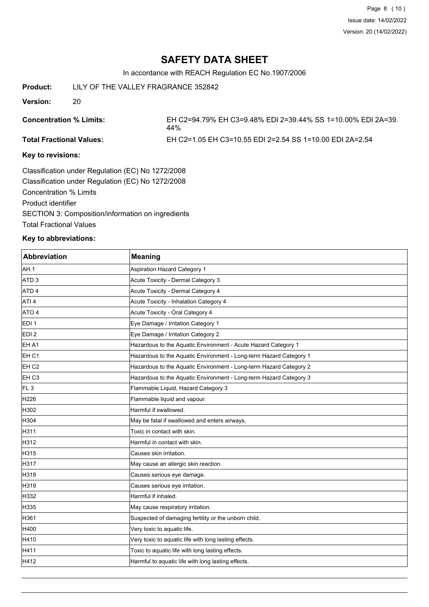# **SAFETY DATA SHEET**

In accordance with REACH Regulation EC No.1907/2006

**Product:** LILY OF THE VALLEY FRAGRANCE 352842

**Version:** 20

**Concentration % Limits:** EH C2=94.79% EH C3=9.48% EDI 2=39.44% SS 1=10.00% EDI 2A=39. 44%

**Total Fractional Values:** EH C2=1.05 EH C3=10.55 EDI 2=2.54 SS 1=10.00 EDI 2A=2.54

### **Key to revisions:**

Classification under Regulation (EC) No 1272/2008 Classification under Regulation (EC) No 1272/2008 Concentration % Limits Product identifier SECTION 3: Composition/information on ingredients Total Fractional Values

### **Key to abbreviations:**

| <b>Abbreviation</b> | <b>Meaning</b>                                                     |
|---------------------|--------------------------------------------------------------------|
| IAH 1               | <b>Aspiration Hazard Category 1</b>                                |
| ATD <sub>3</sub>    | Acute Toxicity - Dermal Category 3                                 |
| ATD <sub>4</sub>    | Acute Toxicity - Dermal Category 4                                 |
| ATI <sub>4</sub>    | Acute Toxicity - Inhalation Category 4                             |
| ATO 4               | Acute Toxicity - Oral Category 4                                   |
| EDI <sub>1</sub>    | Eye Damage / Irritation Category 1                                 |
| EDI <sub>2</sub>    | Eye Damage / Irritation Category 2                                 |
| EH A1               | Hazardous to the Aquatic Environment - Acute Hazard Category 1     |
| EH <sub>C1</sub>    | Hazardous to the Aquatic Environment - Long-term Hazard Category 1 |
| EH <sub>C2</sub>    | Hazardous to the Aquatic Environment - Long-term Hazard Category 2 |
| EH <sub>C3</sub>    | Hazardous to the Aquatic Environment - Long-term Hazard Category 3 |
| FL <sub>3</sub>     | Flammable Liquid, Hazard Category 3                                |
| H226                | Flammable liquid and vapour.                                       |
| H302                | Harmful if swallowed.                                              |
| H304                | May be fatal if swallowed and enters airways.                      |
| H311                | Toxic in contact with skin.                                        |
| H312                | Harmful in contact with skin.                                      |
| H315                | Causes skin irritation.                                            |
| H317                | May cause an allergic skin reaction.                               |
| H318                | Causes serious eye damage.                                         |
| H319                | Causes serious eye irritation.                                     |
| H332                | Harmful if inhaled.                                                |
| H335                | May cause respiratory irritation.                                  |
| H361                | Suspected of damaging fertility or the unborn child.               |
| H400                | Very toxic to aquatic life.                                        |
| H410                | Very toxic to aquatic life with long lasting effects.              |
| H411                | Toxic to aquatic life with long lasting effects.                   |
| H412                | Harmful to aquatic life with long lasting effects.                 |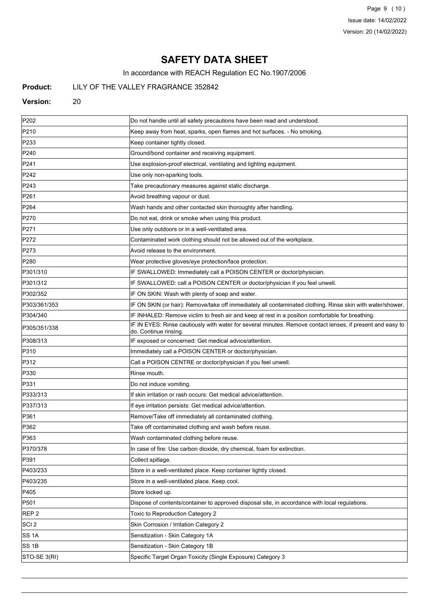Page 9 (10) Issue date: 14/02/2022 Version: 20 (14/02/2022)

# **SAFETY DATA SHEET**

In accordance with REACH Regulation EC No.1907/2006

## **Product:** LILY OF THE VALLEY FRAGRANCE 352842

#### **Version:** 20

| P <sub>202</sub> | Do not handle until all safety precautions have been read and understood.                                                          |
|------------------|------------------------------------------------------------------------------------------------------------------------------------|
| P210             | Keep away from heat, sparks, open flames and hot surfaces. - No smoking.                                                           |
| P233             | Keep container tightly closed.                                                                                                     |
| P240             | Ground/bond container and receiving equipment.                                                                                     |
| P241             | Use explosion-proof electrical, ventilating and lighting equipment.                                                                |
| P242             | Use only non-sparking tools.                                                                                                       |
| P243             | Take precautionary measures against static discharge.                                                                              |
| P261             | Avoid breathing vapour or dust.                                                                                                    |
| P <sub>264</sub> | Wash hands and other contacted skin thoroughly after handling.                                                                     |
| P270             | Do not eat, drink or smoke when using this product.                                                                                |
| P271             | Use only outdoors or in a well-ventilated area.                                                                                    |
| P272             | Contaminated work clothing should not be allowed out of the workplace.                                                             |
| P273             | Avoid release to the environment.                                                                                                  |
| P280             | Wear protective gloves/eye protection/face protection.                                                                             |
| P301/310         | IF SWALLOWED: Immediately call a POISON CENTER or doctor/physician.                                                                |
| P301/312         | IF SWALLOWED: call a POISON CENTER or doctor/physician if you feel unwell.                                                         |
| P302/352         | IF ON SKIN: Wash with plenty of soap and water.                                                                                    |
| P303/361/353     | IF ON SKIN (or hair): Remove/take off immediately all contaminated clothing. Rinse skin with water/shower.                         |
| P304/340         | IF INHALED: Remove victim to fresh air and keep at rest in a position comfortable for breathing.                                   |
| P305/351/338     | IF IN EYES: Rinse cautiously with water for several minutes. Remove contact lenses, if present and easy to<br>do. Continue rinsing |
| P308/313         | IF exposed or concerned: Get medical advice/attention.                                                                             |
| P310             | Immediately call a POISON CENTER or doctor/physician.                                                                              |
| P312             | Call a POISON CENTRE or doctor/physician if you feel unwell.                                                                       |
| P330             | Rinse mouth.                                                                                                                       |
| P331             | Do not induce vomiting.                                                                                                            |
| P333/313         | If skin irritation or rash occurs: Get medical advice/attention.                                                                   |
| P337/313         | If eye irritation persists: Get medical advice/attention.                                                                          |
| P361             | Remove/Take off immediately all contaminated clothing.                                                                             |
| P362             | Take off contaminated clothing and wash before reuse.                                                                              |
| P363             | Wash contaminated clothing before reuse.                                                                                           |
| P370/378         | In case of fire: Use carbon dioxide, dry chemical, foam for extinction.                                                            |
| P391             | Collect spillage.                                                                                                                  |
| P403/233         | Store in a well-ventilated place. Keep container tightly closed.                                                                   |
| P403/235         | Store in a well-ventilated place. Keep cool.                                                                                       |
| P405             | Store locked up.                                                                                                                   |
| P501             | Dispose of contents/container to approved disposal site, in accordance with local regulations.                                     |
| REP <sub>2</sub> | Toxic to Reproduction Category 2                                                                                                   |
| SCI <sub>2</sub> | Skin Corrosion / Irritation Category 2                                                                                             |
| SS 1A            | Sensitization - Skin Category 1A                                                                                                   |
| SS 1B            | Sensitization - Skin Category 1B                                                                                                   |
| STO-SE 3(RI)     | Specific Target Organ Toxicity (Single Exposure) Category 3                                                                        |